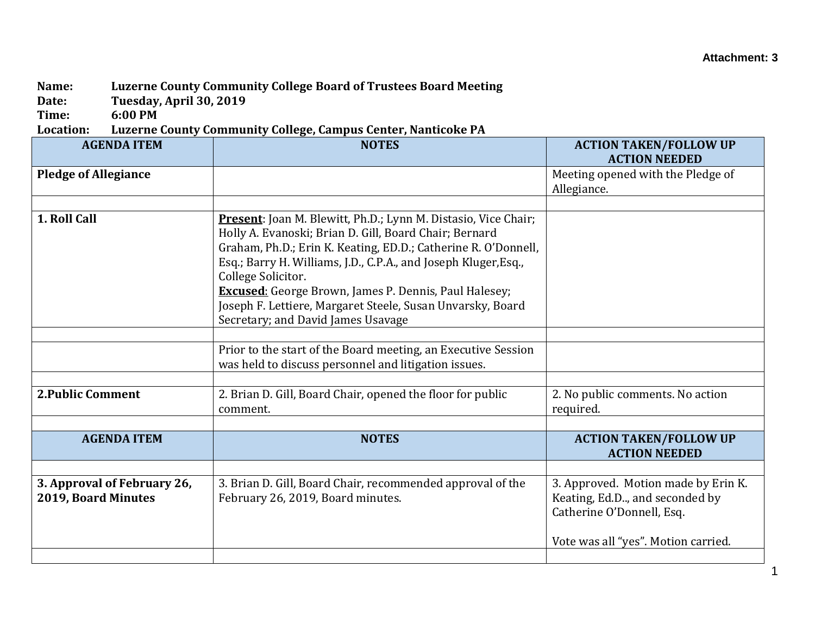## **Attachment: 3**

## **Name: Luzerne County Community College Board of Trustees Board Meeting**

**Date: Tuesday, April 30, 2019**

**Time: 6:00 PM**

## **Location: Luzerne County Community College, Campus Center, Nanticoke PA**

| <b>AGENDA ITEM</b>                                 | <b>NOTES</b>                                                                                                                                                                                                                                                                                                                                                                                                      | <b>ACTION TAKEN/FOLLOW UP</b><br><b>ACTION NEEDED</b>                                              |
|----------------------------------------------------|-------------------------------------------------------------------------------------------------------------------------------------------------------------------------------------------------------------------------------------------------------------------------------------------------------------------------------------------------------------------------------------------------------------------|----------------------------------------------------------------------------------------------------|
| <b>Pledge of Allegiance</b>                        |                                                                                                                                                                                                                                                                                                                                                                                                                   | Meeting opened with the Pledge of<br>Allegiance.                                                   |
|                                                    |                                                                                                                                                                                                                                                                                                                                                                                                                   |                                                                                                    |
| 1. Roll Call                                       | Present: Joan M. Blewitt, Ph.D.; Lynn M. Distasio, Vice Chair;<br>Holly A. Evanoski; Brian D. Gill, Board Chair; Bernard<br>Graham, Ph.D.; Erin K. Keating, ED.D.; Catherine R. O'Donnell,<br>Esq.; Barry H. Williams, J.D., C.P.A., and Joseph Kluger, Esq.,<br>College Solicitor.<br><b>Excused:</b> George Brown, James P. Dennis, Paul Halesey;<br>Joseph F. Lettiere, Margaret Steele, Susan Unvarsky, Board |                                                                                                    |
|                                                    | Secretary; and David James Usavage                                                                                                                                                                                                                                                                                                                                                                                |                                                                                                    |
|                                                    | Prior to the start of the Board meeting, an Executive Session<br>was held to discuss personnel and litigation issues.                                                                                                                                                                                                                                                                                             |                                                                                                    |
| <b>2. Public Comment</b>                           | 2. Brian D. Gill, Board Chair, opened the floor for public<br>comment.                                                                                                                                                                                                                                                                                                                                            | 2. No public comments. No action<br>required.                                                      |
|                                                    |                                                                                                                                                                                                                                                                                                                                                                                                                   |                                                                                                    |
| <b>AGENDA ITEM</b>                                 | <b>NOTES</b>                                                                                                                                                                                                                                                                                                                                                                                                      | <b>ACTION TAKEN/FOLLOW UP</b><br><b>ACTION NEEDED</b>                                              |
|                                                    |                                                                                                                                                                                                                                                                                                                                                                                                                   |                                                                                                    |
| 3. Approval of February 26,<br>2019, Board Minutes | 3. Brian D. Gill, Board Chair, recommended approval of the<br>February 26, 2019, Board minutes.                                                                                                                                                                                                                                                                                                                   | 3. Approved. Motion made by Erin K.<br>Keating, Ed.D, and seconded by<br>Catherine O'Donnell, Esq. |
|                                                    |                                                                                                                                                                                                                                                                                                                                                                                                                   | Vote was all "yes". Motion carried.                                                                |
|                                                    |                                                                                                                                                                                                                                                                                                                                                                                                                   |                                                                                                    |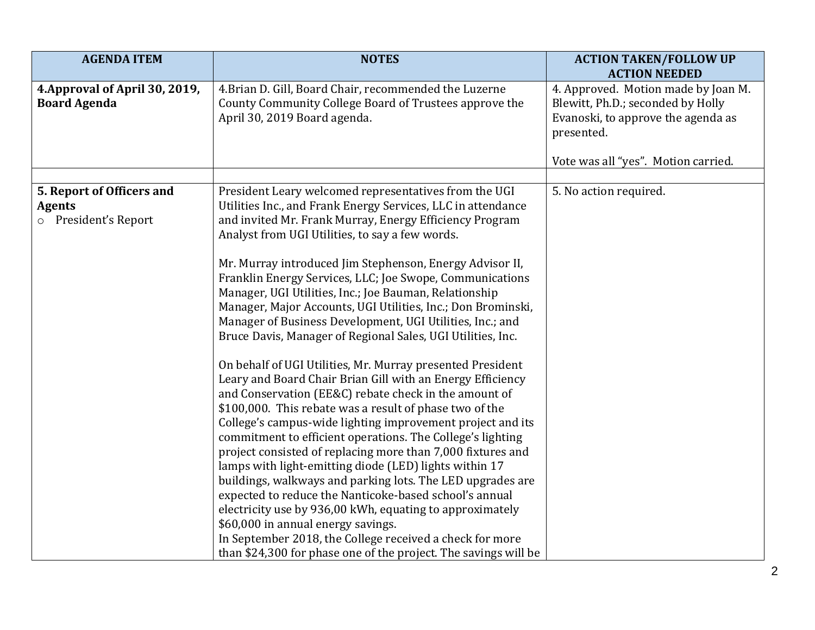| <b>AGENDA ITEM</b>                                                 | <b>NOTES</b>                                                                                                                                                                                                                                                                                                                                                                                                                                                                                                                                                                                                                                                                                                                                                                                                                                                                                                                                                                                                                                                                                                                                                                                                                                                                                                                                                                                                                                                                    | <b>ACTION TAKEN/FOLLOW UP</b><br><b>ACTION NEEDED</b>                                                                                                               |
|--------------------------------------------------------------------|---------------------------------------------------------------------------------------------------------------------------------------------------------------------------------------------------------------------------------------------------------------------------------------------------------------------------------------------------------------------------------------------------------------------------------------------------------------------------------------------------------------------------------------------------------------------------------------------------------------------------------------------------------------------------------------------------------------------------------------------------------------------------------------------------------------------------------------------------------------------------------------------------------------------------------------------------------------------------------------------------------------------------------------------------------------------------------------------------------------------------------------------------------------------------------------------------------------------------------------------------------------------------------------------------------------------------------------------------------------------------------------------------------------------------------------------------------------------------------|---------------------------------------------------------------------------------------------------------------------------------------------------------------------|
| 4. Approval of April 30, 2019,<br><b>Board Agenda</b>              | 4. Brian D. Gill, Board Chair, recommended the Luzerne<br>County Community College Board of Trustees approve the<br>April 30, 2019 Board agenda.                                                                                                                                                                                                                                                                                                                                                                                                                                                                                                                                                                                                                                                                                                                                                                                                                                                                                                                                                                                                                                                                                                                                                                                                                                                                                                                                | 4. Approved. Motion made by Joan M.<br>Blewitt, Ph.D.; seconded by Holly<br>Evanoski, to approve the agenda as<br>presented.<br>Vote was all "yes". Motion carried. |
| 5. Report of Officers and<br><b>Agents</b><br>o President's Report | President Leary welcomed representatives from the UGI<br>Utilities Inc., and Frank Energy Services, LLC in attendance<br>and invited Mr. Frank Murray, Energy Efficiency Program<br>Analyst from UGI Utilities, to say a few words.<br>Mr. Murray introduced Jim Stephenson, Energy Advisor II,<br>Franklin Energy Services, LLC; Joe Swope, Communications<br>Manager, UGI Utilities, Inc.; Joe Bauman, Relationship<br>Manager, Major Accounts, UGI Utilities, Inc.; Don Brominski,<br>Manager of Business Development, UGI Utilities, Inc.; and<br>Bruce Davis, Manager of Regional Sales, UGI Utilities, Inc.<br>On behalf of UGI Utilities, Mr. Murray presented President<br>Leary and Board Chair Brian Gill with an Energy Efficiency<br>and Conservation (EE&C) rebate check in the amount of<br>\$100,000. This rebate was a result of phase two of the<br>College's campus-wide lighting improvement project and its<br>commitment to efficient operations. The College's lighting<br>project consisted of replacing more than 7,000 fixtures and<br>lamps with light-emitting diode (LED) lights within 17<br>buildings, walkways and parking lots. The LED upgrades are<br>expected to reduce the Nanticoke-based school's annual<br>electricity use by 936,00 kWh, equating to approximately<br>\$60,000 in annual energy savings.<br>In September 2018, the College received a check for more<br>than \$24,300 for phase one of the project. The savings will be | 5. No action required.                                                                                                                                              |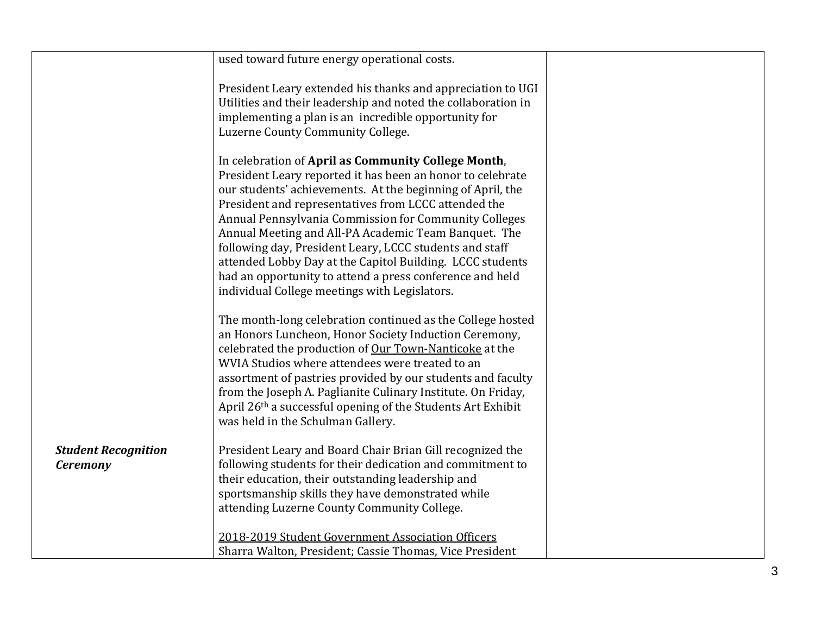|                            | used toward future energy operational costs.                                                                        |  |
|----------------------------|---------------------------------------------------------------------------------------------------------------------|--|
|                            |                                                                                                                     |  |
|                            | President Leary extended his thanks and appreciation to UGI                                                         |  |
|                            | Utilities and their leadership and noted the collaboration in                                                       |  |
|                            | implementing a plan is an incredible opportunity for                                                                |  |
|                            | Luzerne County Community College.                                                                                   |  |
|                            | In celebration of April as Community College Month,                                                                 |  |
|                            | President Leary reported it has been an honor to celebrate                                                          |  |
|                            | our students' achievements. At the beginning of April, the                                                          |  |
|                            | President and representatives from LCCC attended the                                                                |  |
|                            | Annual Pennsylvania Commission for Community Colleges                                                               |  |
|                            | Annual Meeting and All-PA Academic Team Banquet. The                                                                |  |
|                            | following day, President Leary, LCCC students and staff                                                             |  |
|                            | attended Lobby Day at the Capitol Building. LCCC students                                                           |  |
|                            | had an opportunity to attend a press conference and held                                                            |  |
|                            | individual College meetings with Legislators.                                                                       |  |
|                            |                                                                                                                     |  |
|                            | The month-long celebration continued as the College hosted<br>an Honors Luncheon, Honor Society Induction Ceremony, |  |
|                            | celebrated the production of Our Town-Nanticoke at the                                                              |  |
|                            | WVIA Studios where attendees were treated to an                                                                     |  |
|                            | assortment of pastries provided by our students and faculty                                                         |  |
|                            | from the Joseph A. Paglianite Culinary Institute. On Friday,                                                        |  |
|                            | April 26th a successful opening of the Students Art Exhibit                                                         |  |
|                            | was held in the Schulman Gallery.                                                                                   |  |
|                            |                                                                                                                     |  |
| <b>Student Recognition</b> | President Leary and Board Chair Brian Gill recognized the                                                           |  |
| <b>Ceremony</b>            | following students for their dedication and commitment to                                                           |  |
|                            | their education, their outstanding leadership and                                                                   |  |
|                            | sportsmanship skills they have demonstrated while                                                                   |  |
|                            | attending Luzerne County Community College.                                                                         |  |
|                            | 2018-2019 Student Government Association Officers                                                                   |  |
|                            | Sharra Walton, President; Cassie Thomas, Vice President                                                             |  |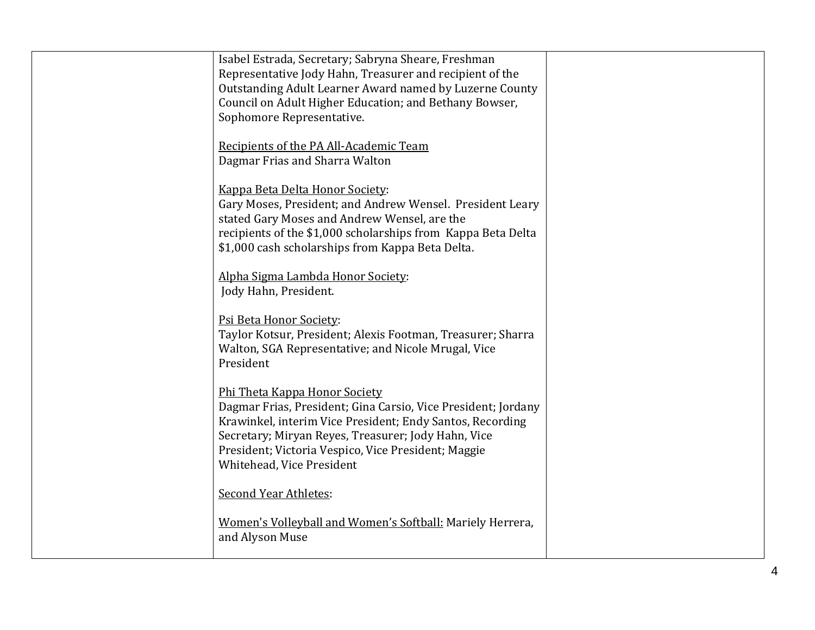| Isabel Estrada, Secretary; Sabryna Sheare, Freshman<br>Representative Jody Hahn, Treasurer and recipient of the<br>Outstanding Adult Learner Award named by Luzerne County<br>Council on Adult Higher Education; and Bethany Bowser,<br>Sophomore Representative.                                      |  |
|--------------------------------------------------------------------------------------------------------------------------------------------------------------------------------------------------------------------------------------------------------------------------------------------------------|--|
| Recipients of the PA All-Academic Team<br>Dagmar Frias and Sharra Walton                                                                                                                                                                                                                               |  |
| Kappa Beta Delta Honor Society:<br>Gary Moses, President; and Andrew Wensel. President Leary<br>stated Gary Moses and Andrew Wensel, are the<br>recipients of the \$1,000 scholarships from Kappa Beta Delta<br>\$1,000 cash scholarships from Kappa Beta Delta.                                       |  |
| Alpha Sigma Lambda Honor Society:<br>Jody Hahn, President.                                                                                                                                                                                                                                             |  |
| Psi Beta Honor Society:<br>Taylor Kotsur, President; Alexis Footman, Treasurer; Sharra<br>Walton, SGA Representative; and Nicole Mrugal, Vice<br>President                                                                                                                                             |  |
| Phi Theta Kappa Honor Society<br>Dagmar Frias, President; Gina Carsio, Vice President; Jordany<br>Krawinkel, interim Vice President; Endy Santos, Recording<br>Secretary; Miryan Reyes, Treasurer; Jody Hahn, Vice<br>President; Victoria Vespico, Vice President; Maggie<br>Whitehead, Vice President |  |
| <b>Second Year Athletes:</b><br>Women's Volleyball and Women's Softball: Mariely Herrera,<br>and Alyson Muse                                                                                                                                                                                           |  |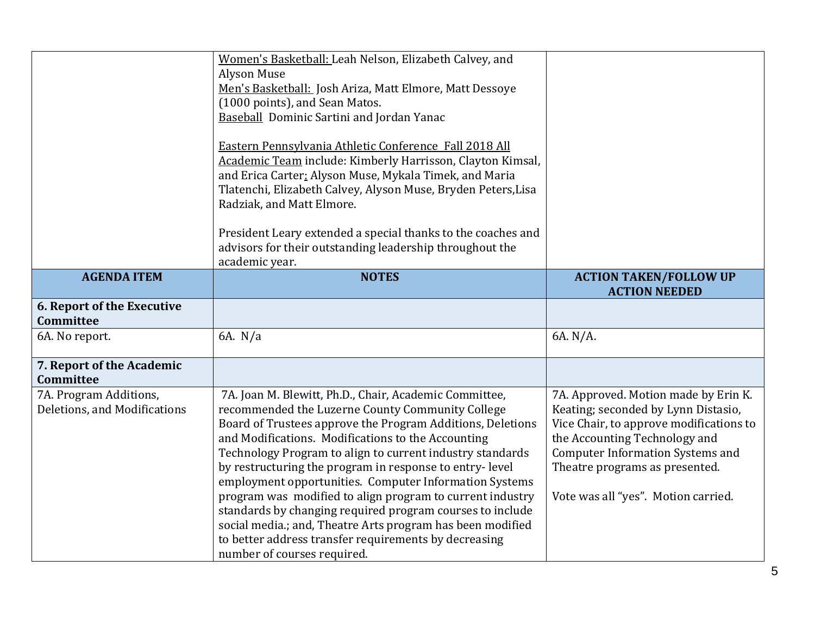|                                   | Women's Basketball: Leah Nelson, Elizabeth Calvey, and                               |                                                       |
|-----------------------------------|--------------------------------------------------------------------------------------|-------------------------------------------------------|
|                                   | Alyson Muse                                                                          |                                                       |
|                                   |                                                                                      |                                                       |
|                                   | Men's Basketball: Josh Ariza, Matt Elmore, Matt Dessoye                              |                                                       |
|                                   | (1000 points), and Sean Matos.                                                       |                                                       |
|                                   | <b>Baseball Dominic Sartini and Jordan Yanac</b>                                     |                                                       |
|                                   | Eastern Pennsylvania Athletic Conference Fall 2018 All                               |                                                       |
|                                   | Academic Team include: Kimberly Harrisson, Clayton Kimsal,                           |                                                       |
|                                   | and Erica Carter: Alyson Muse, Mykala Timek, and Maria                               |                                                       |
|                                   | Tlatenchi, Elizabeth Calvey, Alyson Muse, Bryden Peters, Lisa                        |                                                       |
|                                   | Radziak, and Matt Elmore.                                                            |                                                       |
|                                   |                                                                                      |                                                       |
|                                   | President Leary extended a special thanks to the coaches and                         |                                                       |
|                                   | advisors for their outstanding leadership throughout the                             |                                                       |
|                                   | academic year.                                                                       |                                                       |
| <b>AGENDA ITEM</b>                | <b>NOTES</b>                                                                         | <b>ACTION TAKEN/FOLLOW UP</b><br><b>ACTION NEEDED</b> |
| <b>6. Report of the Executive</b> |                                                                                      |                                                       |
| Committee                         |                                                                                      |                                                       |
| 6A. No report.                    | 6A. N/a                                                                              | 6A. N/A.                                              |
|                                   |                                                                                      |                                                       |
| 7. Report of the Academic         |                                                                                      |                                                       |
| Committee                         |                                                                                      |                                                       |
| 7A. Program Additions,            | 7A. Joan M. Blewitt, Ph.D., Chair, Academic Committee,                               | 7A. Approved. Motion made by Erin K.                  |
| Deletions, and Modifications      | recommended the Luzerne County Community College                                     | Keating; seconded by Lynn Distasio,                   |
|                                   | Board of Trustees approve the Program Additions, Deletions                           | Vice Chair, to approve modifications to               |
|                                   | and Modifications. Modifications to the Accounting                                   | the Accounting Technology and                         |
|                                   | Technology Program to align to current industry standards                            | <b>Computer Information Systems and</b>               |
|                                   | by restructuring the program in response to entry-level                              | Theatre programs as presented.                        |
|                                   | employment opportunities. Computer Information Systems                               |                                                       |
|                                   | program was modified to align program to current industry                            | Vote was all "yes". Motion carried.                   |
|                                   | standards by changing required program courses to include                            |                                                       |
|                                   |                                                                                      |                                                       |
|                                   |                                                                                      |                                                       |
|                                   | social media.; and, Theatre Arts program has been modified                           |                                                       |
|                                   | to better address transfer requirements by decreasing<br>number of courses required. |                                                       |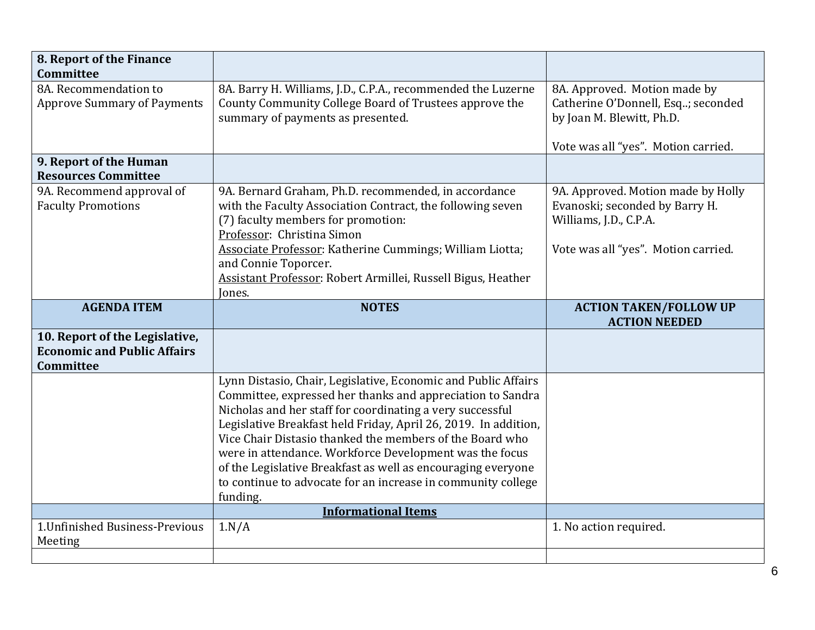| 8. Report of the Finance                                                                 |                                                                                                                                                                                                                                                                                                                                                                                                                                                                                                                                 |                                                                                                                                       |
|------------------------------------------------------------------------------------------|---------------------------------------------------------------------------------------------------------------------------------------------------------------------------------------------------------------------------------------------------------------------------------------------------------------------------------------------------------------------------------------------------------------------------------------------------------------------------------------------------------------------------------|---------------------------------------------------------------------------------------------------------------------------------------|
| Committee                                                                                |                                                                                                                                                                                                                                                                                                                                                                                                                                                                                                                                 |                                                                                                                                       |
| 8A. Recommendation to<br><b>Approve Summary of Payments</b>                              | 8A. Barry H. Williams, J.D., C.P.A., recommended the Luzerne<br>County Community College Board of Trustees approve the<br>summary of payments as presented.                                                                                                                                                                                                                                                                                                                                                                     | 8A. Approved. Motion made by<br>Catherine O'Donnell, Esq; seconded<br>by Joan M. Blewitt, Ph.D.                                       |
|                                                                                          |                                                                                                                                                                                                                                                                                                                                                                                                                                                                                                                                 | Vote was all "yes". Motion carried.                                                                                                   |
| 9. Report of the Human<br><b>Resources Committee</b>                                     |                                                                                                                                                                                                                                                                                                                                                                                                                                                                                                                                 |                                                                                                                                       |
| 9A. Recommend approval of<br><b>Faculty Promotions</b>                                   | 9A. Bernard Graham, Ph.D. recommended, in accordance<br>with the Faculty Association Contract, the following seven<br>(7) faculty members for promotion:<br>Professor: Christina Simon<br>Associate Professor: Katherine Cummings; William Liotta;<br>and Connie Toporcer.<br>Assistant Professor: Robert Armillei, Russell Bigus, Heather<br>Jones.                                                                                                                                                                            | 9A. Approved. Motion made by Holly<br>Evanoski; seconded by Barry H.<br>Williams, J.D., C.P.A.<br>Vote was all "yes". Motion carried. |
| <b>AGENDA ITEM</b>                                                                       | <b>NOTES</b>                                                                                                                                                                                                                                                                                                                                                                                                                                                                                                                    | <b>ACTION TAKEN/FOLLOW UP</b>                                                                                                         |
|                                                                                          |                                                                                                                                                                                                                                                                                                                                                                                                                                                                                                                                 | <b>ACTION NEEDED</b>                                                                                                                  |
| 10. Report of the Legislative,<br><b>Economic and Public Affairs</b><br><b>Committee</b> |                                                                                                                                                                                                                                                                                                                                                                                                                                                                                                                                 |                                                                                                                                       |
|                                                                                          | Lynn Distasio, Chair, Legislative, Economic and Public Affairs<br>Committee, expressed her thanks and appreciation to Sandra<br>Nicholas and her staff for coordinating a very successful<br>Legislative Breakfast held Friday, April 26, 2019. In addition,<br>Vice Chair Distasio thanked the members of the Board who<br>were in attendance. Workforce Development was the focus<br>of the Legislative Breakfast as well as encouraging everyone<br>to continue to advocate for an increase in community college<br>funding. |                                                                                                                                       |
| 1. Unfinished Business-Previous                                                          | <b>Informational Items</b><br>1.N/A                                                                                                                                                                                                                                                                                                                                                                                                                                                                                             | 1. No action required.                                                                                                                |